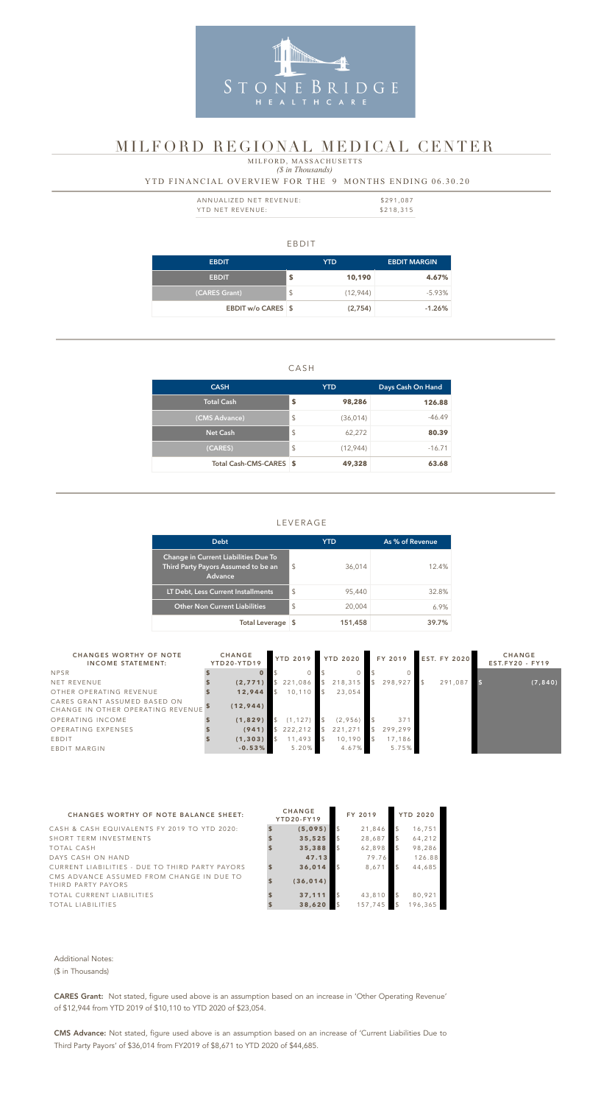#### EBDIT

| <b>EBDIT</b>       |               | YTD       | <b>EBDIT MARGIN</b> |
|--------------------|---------------|-----------|---------------------|
| <b>EBDIT</b>       | \$            | 10,190    | 4.67%               |
| (CARES Grant)      | $\frac{1}{2}$ | (12, 944) | $-5.93\%$           |
| EBDIT w/o CARES \$ |               | (2,754)   | $-1.26%$            |

#### CASH

| <b>CASH</b>             |                         | <b>YTD</b> | Days Cash On Hand |
|-------------------------|-------------------------|------------|-------------------|
| <b>Total Cash</b>       | \$                      | 98,286     | 126.88            |
| (CMS Advance)           | $\sqrt[6]{\frac{1}{2}}$ | (36, 014)  | $-46.49$          |
| <b>Net Cash</b>         | $\frac{1}{2}$           | 62,272     | 80.39             |
| (CARES)                 | $\frac{1}{2}$           | (12, 944)  | $-16.71$          |
| Total Cash-CMS-CARES \$ |                         | 49,328     | 63.68             |

| ANNUALIZED NET REVENUE: | \$291,087 |
|-------------------------|-----------|
| YTD NET REVENUE:        | \$218,315 |

## LEVERAGE

#### *(\$ in Thousands)* YTD FINANCIAL OVERVIEW FOR THE 9 MONTHS ENDING 06.30.20 MILFORD, MASSACHUSETTS



# MILFORD REGIONAL MEDICAL CENTER

|                                                                   |                                                                             | <b>Debt</b>                          |                   |              |                 |                | <b>YTD</b>      |               | As % of Revenue |                     |                 |          |
|-------------------------------------------------------------------|-----------------------------------------------------------------------------|--------------------------------------|-------------------|--------------|-----------------|----------------|-----------------|---------------|-----------------|---------------------|-----------------|----------|
|                                                                   | Change in Current Liabilities Due To<br>Third Party Payors Assumed to be an | Advance                              |                   |              | $\frac{1}{2}$   |                | 36,014          |               |                 | 12.4%               |                 |          |
|                                                                   | LT Debt, Less Current Installments                                          |                                      |                   |              | \$              |                | 95,440          |               |                 | 32.8%               |                 |          |
|                                                                   |                                                                             | <b>Other Non Current Liabilities</b> |                   |              | \$              |                | 20,004          |               |                 | 6.9%                |                 |          |
|                                                                   |                                                                             |                                      | Total Leverage \$ |              |                 |                | 151,458         |               |                 | 39.7%               |                 |          |
| <b>CHANGES WORTHY OF NOTE</b>                                     |                                                                             | <b>CHANGE</b>                        |                   |              | <b>YTD 2019</b> |                | <b>YTD 2020</b> |               | FY 2019         | <b>EST. FY 2020</b> | <b>CHANGE</b>   |          |
| <b>INCOME STATEMENT:</b>                                          |                                                                             | YTD20-YTD19                          |                   |              |                 |                |                 |               |                 |                     | EST.FY20 - FY19 |          |
| <b>NPSR</b>                                                       |                                                                             |                                      | $\mathbf{0}$      |              | $\Omega$        |                | $\Omega$        |               | $\Omega$        |                     |                 |          |
| <b>NET REVENUE</b>                                                |                                                                             |                                      | (2,771)           |              | \$221,086       | $\mathcal{L}$  | 218,315         | $\frac{1}{2}$ | 298,927         | 291,087             |                 | (7, 840) |
| OTHER OPERATING REVENUE                                           |                                                                             |                                      | 12,944            | $\mathbb{S}$ | 10, 110         | $\frac{1}{2}$  | 23,054          |               |                 |                     |                 |          |
| CARES GRANT ASSUMED BASED ON<br>CHANGE IN OTHER OPERATING REVENUE |                                                                             |                                      | (12, 944)         |              |                 |                |                 |               |                 |                     |                 |          |
| OPERATING INCOME                                                  |                                                                             |                                      | (1,829)           | \$           | (1, 127)        | $$\mathbb{S}$$ | (2,956)         |               | 371             |                     |                 |          |
| OPERATING EXPENSES                                                |                                                                             |                                      | (941)             |              | \$222,212       | $\mathcal{L}$  | 221,271         | $\frac{1}{2}$ | 299,299         |                     |                 |          |
| EBDIT                                                             |                                                                             |                                      | (1, 303)          | $\mathbb{S}$ | 11,493          | $\mathcal{L}$  | 10,190          | $\sqrt{5}$    | 17,186          |                     |                 |          |
| <b>EBDIT MARGIN</b>                                               |                                                                             |                                      | $-0.53%$          |              | 5.20%           |                | 4.67%           |               | 5.75%           |                     |                 |          |

| <b>CHANGES WORTHY OF NOTE BALANCE SHEET:</b>                    | <b>CHANGE</b><br><b>YTD20-FY19</b> | FY 2019 |               | <b>YTD 2020</b> |
|-----------------------------------------------------------------|------------------------------------|---------|---------------|-----------------|
| CASH & CASH EQUIVALENTS FY 2019 TO YTD 2020:                    | (5,095)                            | 21,846  |               | 16,751          |
| SHORT TERM INVESTMENTS                                          | 35,525                             | 28,687  | $\mathcal{L}$ | 64,212          |
| <b>TOTAL CASH</b>                                               | 35,388                             | 62,898  | $\mathcal{S}$ | 98,286          |
| DAYS CASH ON HAND                                               | 47.13                              | 79.76   |               | 126.88          |
| CURRENT LIABILITIES - DUE TO THIRD PARTY PAYORS                 | 36,014                             | 8,671   |               | 44,685          |
| CMS ADVANCE ASSUMED FROM CHANGE IN DUE TO<br>THIRD PARTY PAYORS | (36, 014)                          |         |               |                 |
| TOTAL CURRENT LIABILITIES                                       | 37,111                             | 43,810  |               | 80,921          |
| <b>TOTAL LIABILITIES</b>                                        | 38,620                             | 157,745 | $\sqrt{5}$    | 196,365         |

Additional Notes:

(\$ in Thousands)

CARES Grant: Not stated, figure used above is an assumption based on an increase in 'Other Operating Revenue' of \$12,944 from YTD 2019 of \$10,110 to YTD 2020 of \$23,054.

CMS Advance: Not stated, figure used above is an assumption based on an increase of 'Current Liabilities Due to Third Party Payors' of \$36,014 from FY2019 of \$8,671 to YTD 2020 of \$44,685.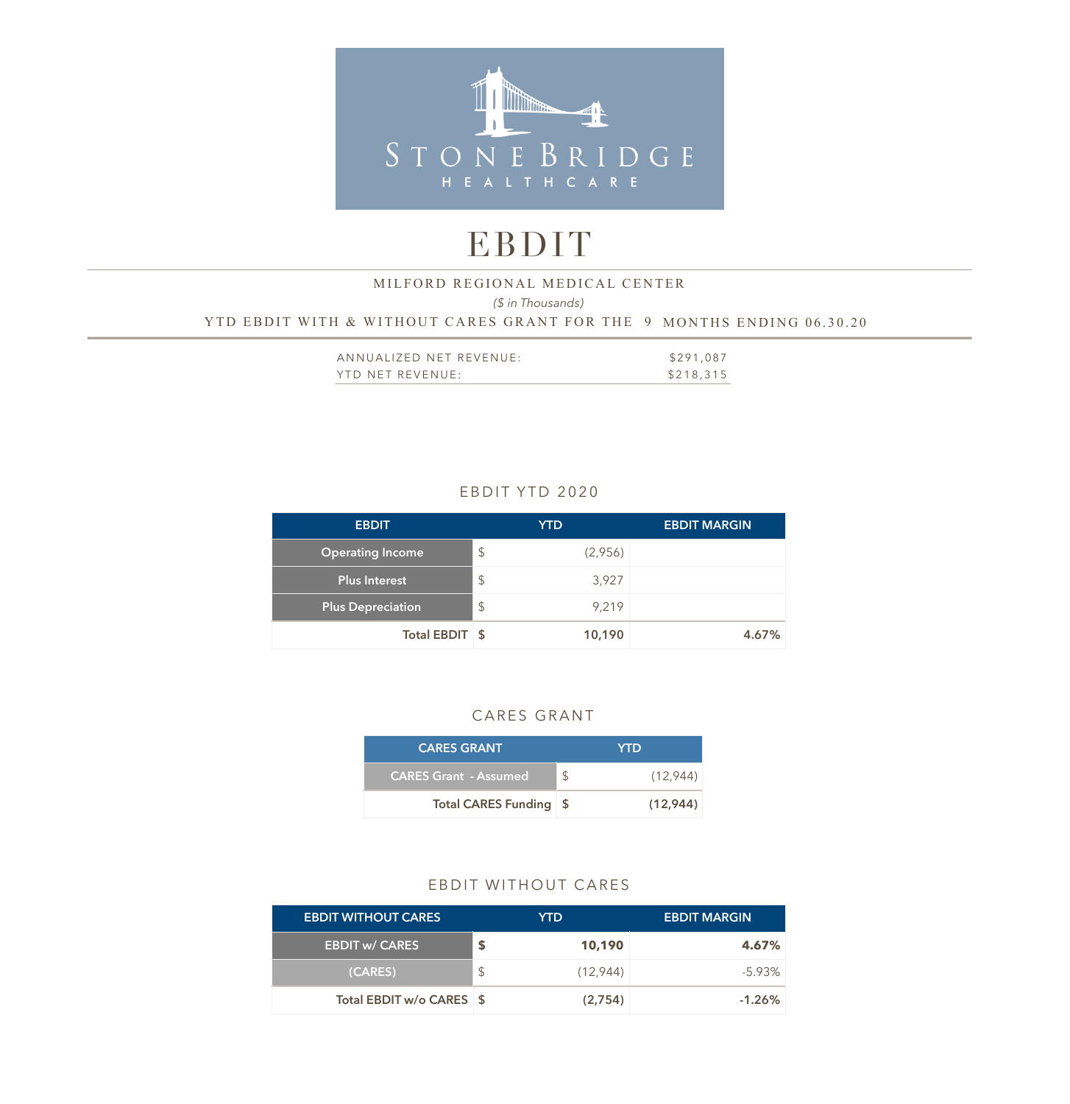

# EBDIT

#### *(\$ in Thousands)*  YTD EBDIT WITH & WITHOUT CARES GRANT FOR THE 9 MONTHS ENDING 06.30.20 MILFORD REGIONAL MEDICAL CENTER

| ANNUALIZED NET REVENUE: | \$291,087 |
|-------------------------|-----------|
| YTD NET REVENUE:        | \$218,315 |

## EBDIT YTD 2020

| <b>EBDIT</b>             | <b>YTD</b>                       | <b>EBDIT MARGIN</b> |
|--------------------------|----------------------------------|---------------------|
| <b>Operating Income</b>  | $\frac{1}{2}$<br>(2,956)         |                     |
| <b>Plus Interest</b>     | $\sqrt[6]{\frac{1}{2}}$<br>3,927 |                     |
| <b>Plus Depreciation</b> | $\frac{1}{2}$<br>9,219           |                     |
| Total EBDIT \$           | 10,190                           | 4.67%               |

## CARES GRANT

| <b>CARES GRANT</b>           | <b>YTD</b>     |
|------------------------------|----------------|
| <b>CARES Grant - Assumed</b> | \$<br>(12.944) |
| Total CARES Funding \$       | (12, 944)      |

#### EBDIT WITHOUT CARES

| <b>EBDIT WITHOUT CARES</b> |     | YTD.      | <b>EBDIT MARGIN</b> |
|----------------------------|-----|-----------|---------------------|
| <b>EBDIT w/ CARES</b>      | S   | 10,190    | 4.67%               |
| (CARES)                    | \$. | (12, 944) | $-5.93\%$           |
| Total EBDIT w/o CARES \$   |     | (2,754)   | $-1.26\%$           |